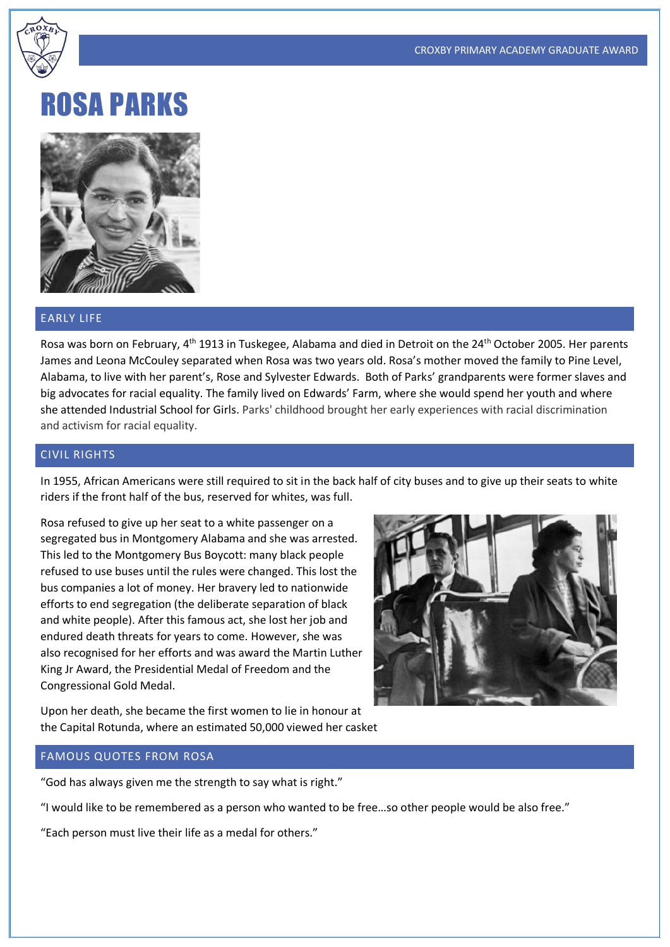

# ROSA PARKS



# EARLY LIFE

Rosa was born on February, 4<sup>th</sup> 1913 in Tuskegee, Alabama and died in Detroit on the 24<sup>th</sup> October 2005. Her parents James and Leona McCouley separated when Rosa was two years old. Rosa's mother moved the family to Pine Level, Alabama, to live with her parent's, Rose and Sylvester Edwards. Both of Parks' grandparents were former slaves and big advocates for racial equality. The family lived on Edwards' Farm, where she would spend her youth and where she attended Industrial School for Girls. Parks' childhood brought her early experiences with racial discrimination and activism for racial equality.

## CIVIL RIGHTS

In 1955, African Americans were still required to sit in the back half of city buses and to give up their seats to white riders if the front half of the bus, reserved for whites, was full.

Rosa refused to give up her seat to a white passenger on a segregated bus in Montgomery Alabama and she was arrested. This led to the Montgomery Bus Boycott: many black people refused to use buses until the rules were changed. This lost the bus companies a lot of money. Her bravery led to nationwide efforts to end segregation (the deliberate separation of black and white people). After this famous act, she lost her job and endured death threats for years to come. However, she was also recognised for her efforts and was award the Martin Luther King Jr Award, the Presidential Medal of Freedom and the Congressional Gold Medal.



Upon her death, she became the first women to lie in honour at the Capital Rotunda, where an estimated 50,000 viewed her casket

#### FAMOUS QUOTES FROM ROSA

"God has always given me the strength to say what is right."

"I would like to be remembered as a person who wanted to be free…so other people would be also free."

"Each person must live their life as a medal for others."